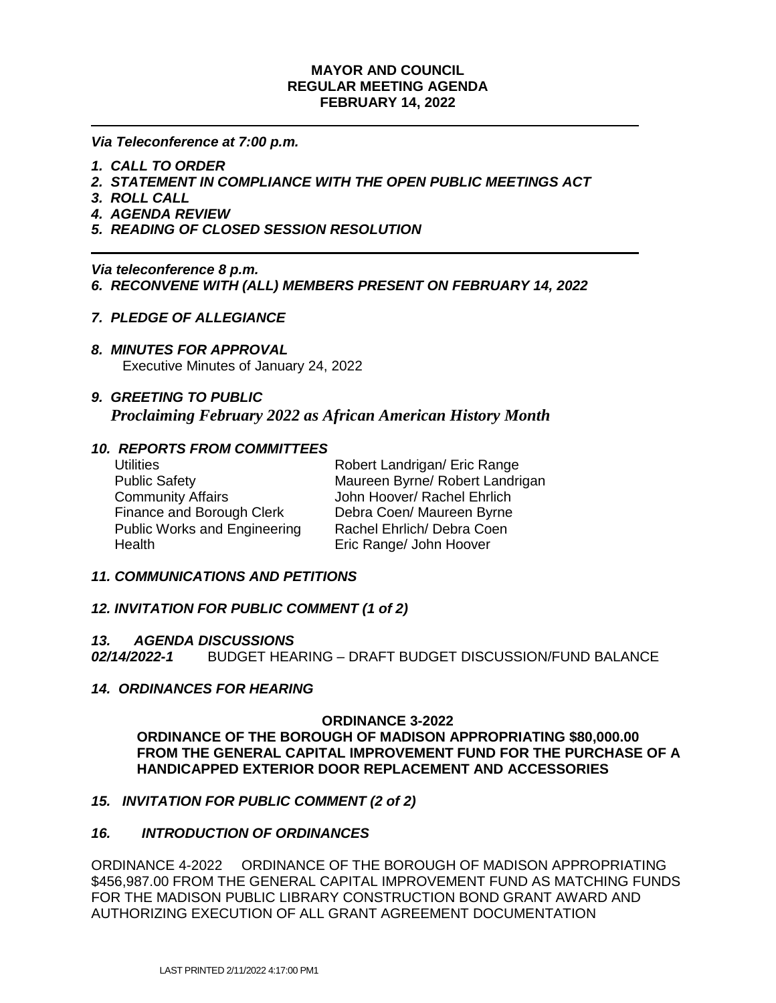### **MAYOR AND COUNCIL REGULAR MEETING AGENDA FEBRUARY 14, 2022**

*Via Teleconference at 7:00 p.m.*

- *1. CALL TO ORDER*
- *2. STATEMENT IN COMPLIANCE WITH THE OPEN PUBLIC MEETINGS ACT*
- *3. ROLL CALL*
- *4. AGENDA REVIEW*
- *5. READING OF CLOSED SESSION RESOLUTION*

*Via teleconference 8 p.m. 6. RECONVENE WITH (ALL) MEMBERS PRESENT ON FEBRUARY 14, 2022*

### *7. PLEDGE OF ALLEGIANCE*

*8. MINUTES FOR APPROVAL*

Executive Minutes of January 24, 2022

## *9. GREETING TO PUBLIC Proclaiming February 2022 as African American History Month*

## *10. REPORTS FROM COMMITTEES*

| <b>Utilities</b>                    | Robert Landrigan/ Eric Range    |
|-------------------------------------|---------------------------------|
| <b>Public Safety</b>                | Maureen Byrne/ Robert Landrigan |
| <b>Community Affairs</b>            | John Hoover/ Rachel Ehrlich     |
| Finance and Borough Clerk           | Debra Coen/ Maureen Byrne       |
| <b>Public Works and Engineering</b> | Rachel Ehrlich/ Debra Coen      |
| Health                              | Eric Range/ John Hoover         |

#### *11. COMMUNICATIONS AND PETITIONS*

#### *12. INVITATION FOR PUBLIC COMMENT (1 of 2)*

#### *13. AGENDA DISCUSSIONS*

*02/14/2022-1*BUDGET HEARING – DRAFT BUDGET DISCUSSION/FUND BALANCE

#### *14. ORDINANCES FOR HEARING*

#### **ORDINANCE 3-2022**

**ORDINANCE OF THE BOROUGH OF MADISON APPROPRIATING \$80,000.00 FROM THE GENERAL CAPITAL IMPROVEMENT FUND FOR THE PURCHASE OF A HANDICAPPED EXTERIOR DOOR REPLACEMENT AND ACCESSORIES**

## *15. INVITATION FOR PUBLIC COMMENT (2 of 2)*

## *16. INTRODUCTION OF ORDINANCES*

ORDINANCE 4-2022 ORDINANCE OF THE BOROUGH OF MADISON APPROPRIATING \$456,987.00 FROM THE GENERAL CAPITAL IMPROVEMENT FUND AS MATCHING FUNDS FOR THE MADISON PUBLIC LIBRARY CONSTRUCTION BOND GRANT AWARD AND AUTHORIZING EXECUTION OF ALL GRANT AGREEMENT DOCUMENTATION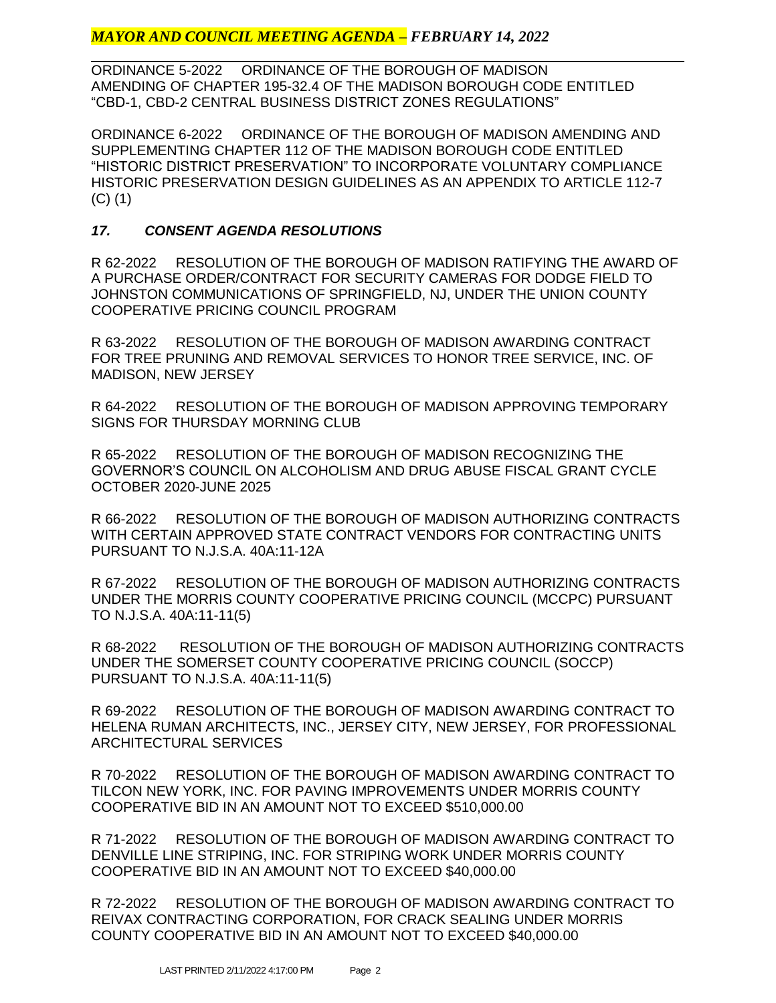# *MAYOR AND COUNCIL MEETING AGENDA – FEBRUARY 14, 2022*

ORDINANCE 5-2022 ORDINANCE OF THE BOROUGH OF MADISON AMENDING OF CHAPTER 195-32.4 OF THE MADISON BOROUGH CODE ENTITLED "CBD-1, CBD-2 CENTRAL BUSINESS DISTRICT ZONES REGULATIONS"

ORDINANCE 6-2022 ORDINANCE OF THE BOROUGH OF MADISON AMENDING AND SUPPLEMENTING CHAPTER 112 OF THE MADISON BOROUGH CODE ENTITLED "HISTORIC DISTRICT PRESERVATION" TO INCORPORATE VOLUNTARY COMPLIANCE HISTORIC PRESERVATION DESIGN GUIDELINES AS AN APPENDIX TO ARTICLE 112-7 (C) (1)

# *17. CONSENT AGENDA RESOLUTIONS*

R 62-2022 RESOLUTION OF THE BOROUGH OF MADISON RATIFYING THE AWARD OF A PURCHASE ORDER/CONTRACT FOR SECURITY CAMERAS FOR DODGE FIELD TO JOHNSTON COMMUNICATIONS OF SPRINGFIELD, NJ, UNDER THE UNION COUNTY COOPERATIVE PRICING COUNCIL PROGRAM

R 63-2022 RESOLUTION OF THE BOROUGH OF MADISON AWARDING CONTRACT FOR TREE PRUNING AND REMOVAL SERVICES TO HONOR TREE SERVICE, INC. OF MADISON, NEW JERSEY

R 64-2022 RESOLUTION OF THE BOROUGH OF MADISON APPROVING TEMPORARY SIGNS FOR THURSDAY MORNING CLUB

R 65-2022 RESOLUTION OF THE BOROUGH OF MADISON RECOGNIZING THE GOVERNOR'S COUNCIL ON ALCOHOLISM AND DRUG ABUSE FISCAL GRANT CYCLE OCTOBER 2020-JUNE 2025

R 66-2022 RESOLUTION OF THE BOROUGH OF MADISON AUTHORIZING CONTRACTS WITH CERTAIN APPROVED STATE CONTRACT VENDORS FOR CONTRACTING UNITS PURSUANT TO N.J.S.A. 40A:11-12A

R 67-2022 RESOLUTION OF THE BOROUGH OF MADISON AUTHORIZING CONTRACTS UNDER THE MORRIS COUNTY COOPERATIVE PRICING COUNCIL (MCCPC) PURSUANT TO N.J.S.A. 40A:11-11(5)

R 68-2022 RESOLUTION OF THE BOROUGH OF MADISON AUTHORIZING CONTRACTS UNDER THE SOMERSET COUNTY COOPERATIVE PRICING COUNCIL (SOCCP) PURSUANT TO N.J.S.A. 40A:11-11(5)

R 69-2022 RESOLUTION OF THE BOROUGH OF MADISON AWARDING CONTRACT TO HELENA RUMAN ARCHITECTS, INC., JERSEY CITY, NEW JERSEY, FOR PROFESSIONAL ARCHITECTURAL SERVICES

R 70-2022 RESOLUTION OF THE BOROUGH OF MADISON AWARDING CONTRACT TO TILCON NEW YORK, INC. FOR PAVING IMPROVEMENTS UNDER MORRIS COUNTY COOPERATIVE BID IN AN AMOUNT NOT TO EXCEED \$510,000.00

R 71-2022 RESOLUTION OF THE BOROUGH OF MADISON AWARDING CONTRACT TO DENVILLE LINE STRIPING, INC. FOR STRIPING WORK UNDER MORRIS COUNTY COOPERATIVE BID IN AN AMOUNT NOT TO EXCEED \$40,000.00

R 72-2022 RESOLUTION OF THE BOROUGH OF MADISON AWARDING CONTRACT TO REIVAX CONTRACTING CORPORATION, FOR CRACK SEALING UNDER MORRIS COUNTY COOPERATIVE BID IN AN AMOUNT NOT TO EXCEED \$40,000.00